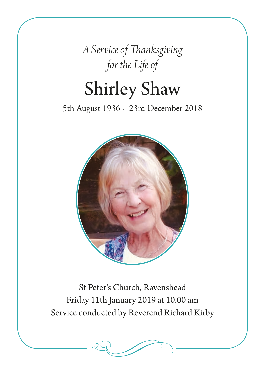*A Service of Thanksgiving for the Life of*

# Shirley Shaw

5th August 1936 ~ 23rd December 2018



St Peter's Church, Ravenshead Friday 11th January 2019 at 10.00 am Service conducted by Reverend Richard Kirby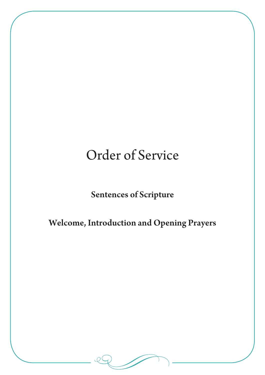# Order of Service

# Sentences of Scripture

# Welcome, Introduction and Opening Prayers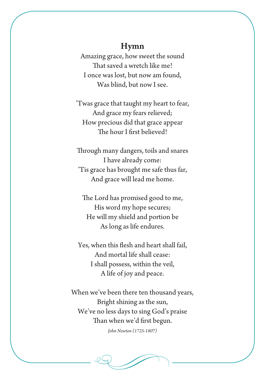#### Hymn

Amazing grace, how sweet the sound That saved a wretch like me! I once was lost, but now am found, Was blind, but now I see.

'Twas grace that taught my heart to fear, And grace my fears relieved; How precious did that grace appear The hour I first believed!

Through many dangers, toils and snares I have already come: 'Tis grace has brought me safe thus far, And grace will lead me home.

The Lord has promised good to me, His word my hope secures; He will my shield and portion be As long as life endures.

Yes, when this flesh and heart shall fail, And mortal life shall cease: I shall possess, within the veil, A life of joy and peace.

When we've been there ten thousand years, Bright shining as the sun, We've no less days to sing God's praise Than when we'd first begun.

*John Newton (1725-1807)*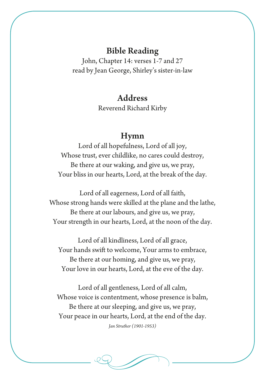#### Bible Reading

John, Chapter 14: verses 1-7 and 27 read by Jean George, Shirley's sister-in-law

#### Address

Reverend Richard Kirby

#### Hymn

Lord of all hopefulness, Lord of all joy, Whose trust, ever childlike, no cares could destroy, Be there at our waking, and give us, we pray, Your bliss in our hearts, Lord, at the break of the day.

Lord of all eagerness, Lord of all faith, Whose strong hands were skilled at the plane and the lathe, Be there at our labours, and give us, we pray, Your strength in our hearts, Lord, at the noon of the day.

Lord of all kindliness, Lord of all grace, Your hands swift to welcome, Your arms to embrace, Be there at our homing, and give us, we pray, Your love in our hearts, Lord, at the eve of the day.

Lord of all gentleness, Lord of all calm, Whose voice is contentment, whose presence is balm, Be there at our sleeping, and give us, we pray, Your peace in our hearts, Lord, at the end of the day.

*Jan Struther (1901-1953)*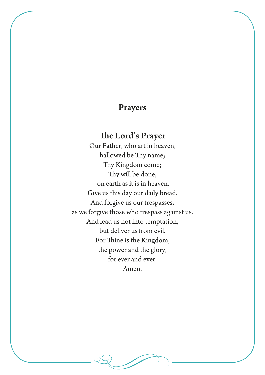## Prayers

## The Lord's Prayer

Our Father, who art in heaven, hallowed be Thy name; Thy Kingdom come; Thy will be done, on earth as it is in heaven. Give us this day our daily bread. And forgive us our trespasses, as we forgive those who trespass against us. And lead us not into temptation, but deliver us from evil. For Thine is the Kingdom, the power and the glory, for ever and ever. Amen.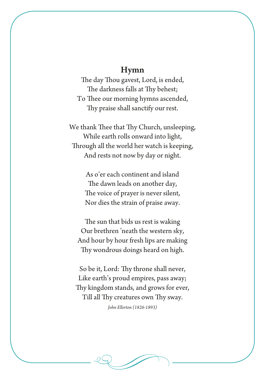#### Hymn

The day Thou gavest, Lord, is ended, The darkness falls at Thy behest; To Thee our morning hymns ascended, Thy praise shall sanctify our rest.

We thank Thee that Thy Church, unsleeping, While earth rolls onward into light, Through all the world her watch is keeping, And rests not now by day or night.

> As o'er each continent and island The dawn leads on another day, The voice of prayer is never silent, Nor dies the strain of praise away.

The sun that bids us rest is waking Our brethren 'neath the western sky, And hour by hour fresh lips are making Thy wondrous doings heard on high.

So be it, Lord: Thy throne shall never, Like earth's proud empires, pass away; Thy kingdom stands, and grows for ever, Till all Thy creatures own Thy sway.

*John Ellerton (1826-1893)*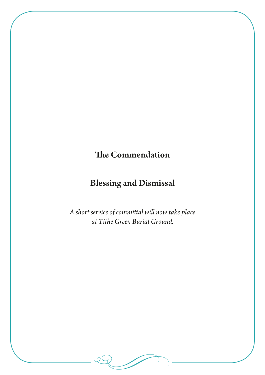# The Commendation

# Blessing and Dismissal

*A short service of committal will now take place at Tithe Green Burial Ground.*